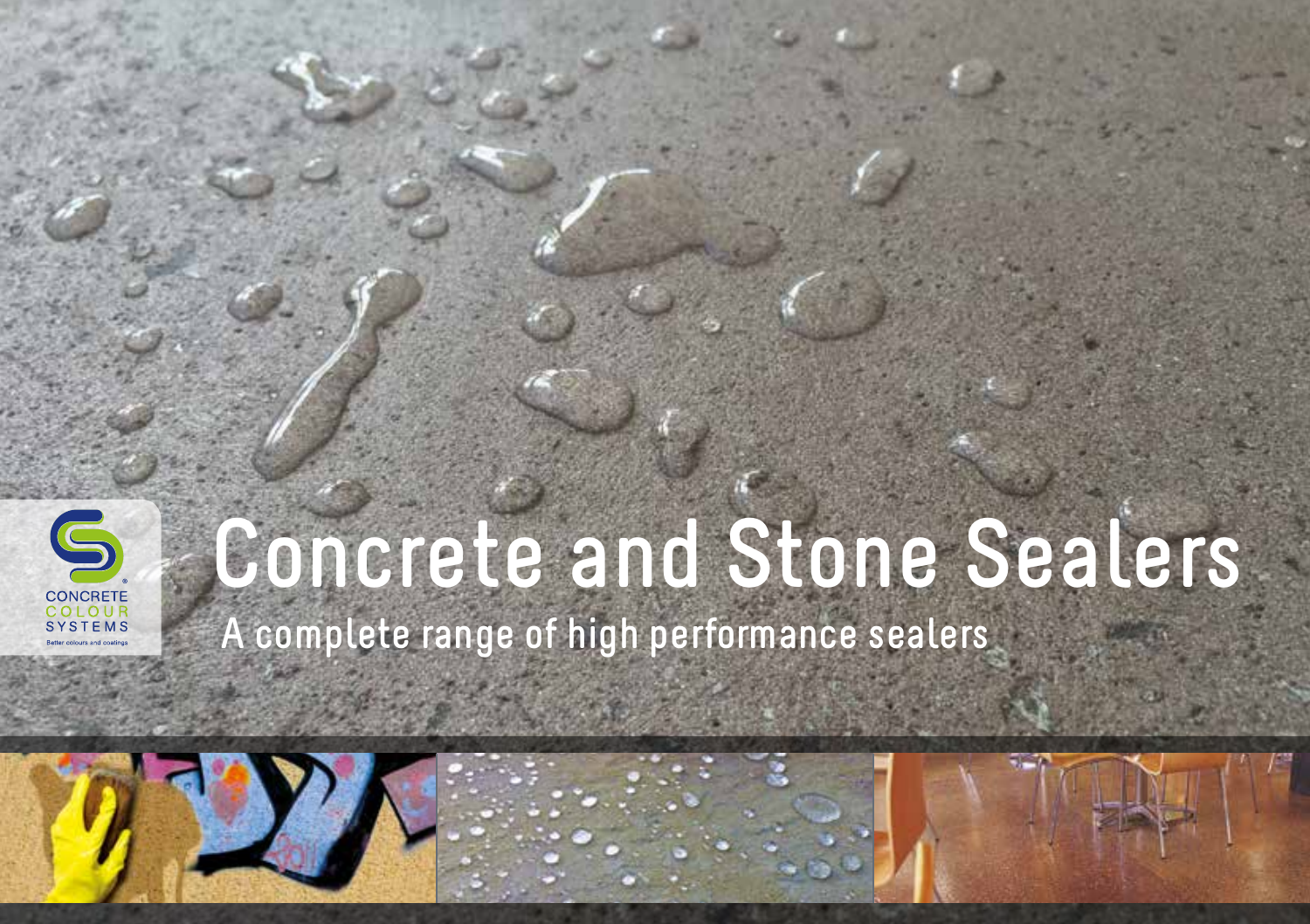

# **Concrete and Stone Sealers**

 **A complete range of high performance sealers**

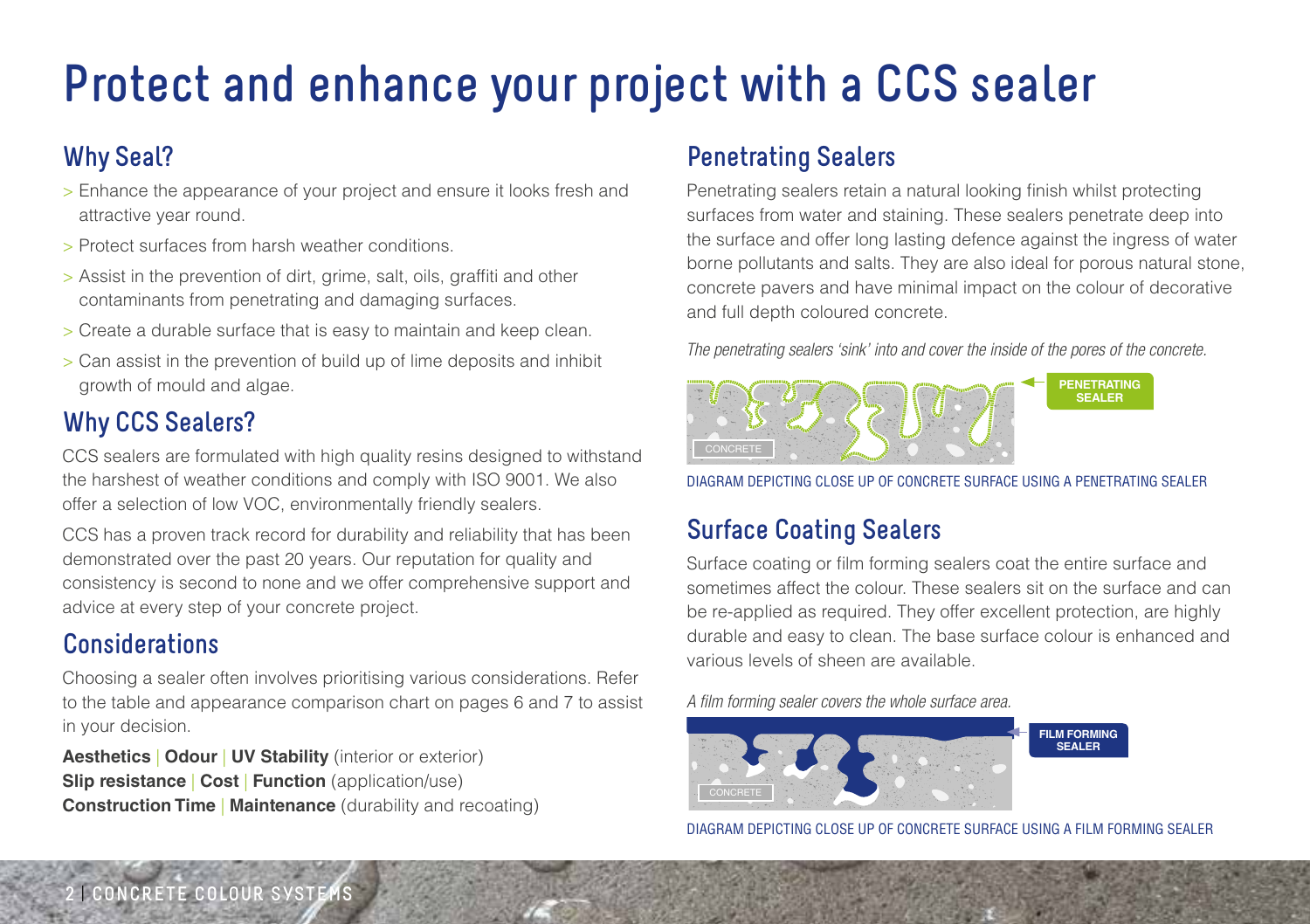## **Protect and enhance your project with a CCS sealer**

#### **Why Seal?**

- > Enhance the appearance of your project and ensure it looks fresh and attractive year round.
- > Protect surfaces from harsh weather conditions.
- > Assist in the prevention of dirt, grime, salt, oils, graffiti and other contaminants from penetrating and damaging surfaces.
- > Create a durable surface that is easy to maintain and keep clean.
- > Can assist in the prevention of build up of lime deposits and inhibit growth of mould and algae.

### **Why CCS Sealers?**

CCS sealers are formulated with high quality resins designed to withstand the harshest of weather conditions and comply with ISO 9001. We also offer a selection of low VOC, environmentally friendly sealers.

CCS has a proven track record for durability and reliability that has been demonstrated over the past 20 years. Our reputation for quality and consistency is second to none and we offer comprehensive support and advice at every step of your concrete project.

#### **Considerations**

Choosing a sealer often involves prioritising various considerations. Refer to the table and appearance comparison chart on pages 6 and 7 to assist in your decision.

**Aesthetics** | **Odour** | **UV Stability** (interior or exterior) **Slip resistance** | **Cost** | **Function** (application/use) **Construction Time | Maintenance** (durability and recoating)

#### **Penetrating Sealers**

Penetrating sealers retain a natural looking finish whilst protecting surfaces from water and staining. These sealers penetrate deep into the surface and offer long lasting defence against the ingress of water borne pollutants and salts. They are also ideal for porous natural stone, concrete pavers and have minimal impact on the colour of decorative and full depth coloured concrete.

*The penetrating sealers 'sink' into and cover the inside of the pores of the concrete.* 



DIAGRAM DEPICTING CLOSE UP OF CONCRETE SURFACE USING A PENETRATING SEALER

#### **Surface Coating Sealers**

Surface coating or film forming sealers coat the entire surface and sometimes affect the colour. These sealers sit on the surface and can be re-applied as required. They offer excellent protection, are highly durable and easy to clean. The base surface colour is enhanced and various levels of sheen are available.

A film forming sealer covers the whole surface area.



DIAGRAM DEPICTING CLOSE UP OF CONCRETE SURFACE USING A FILM FORMING SEALER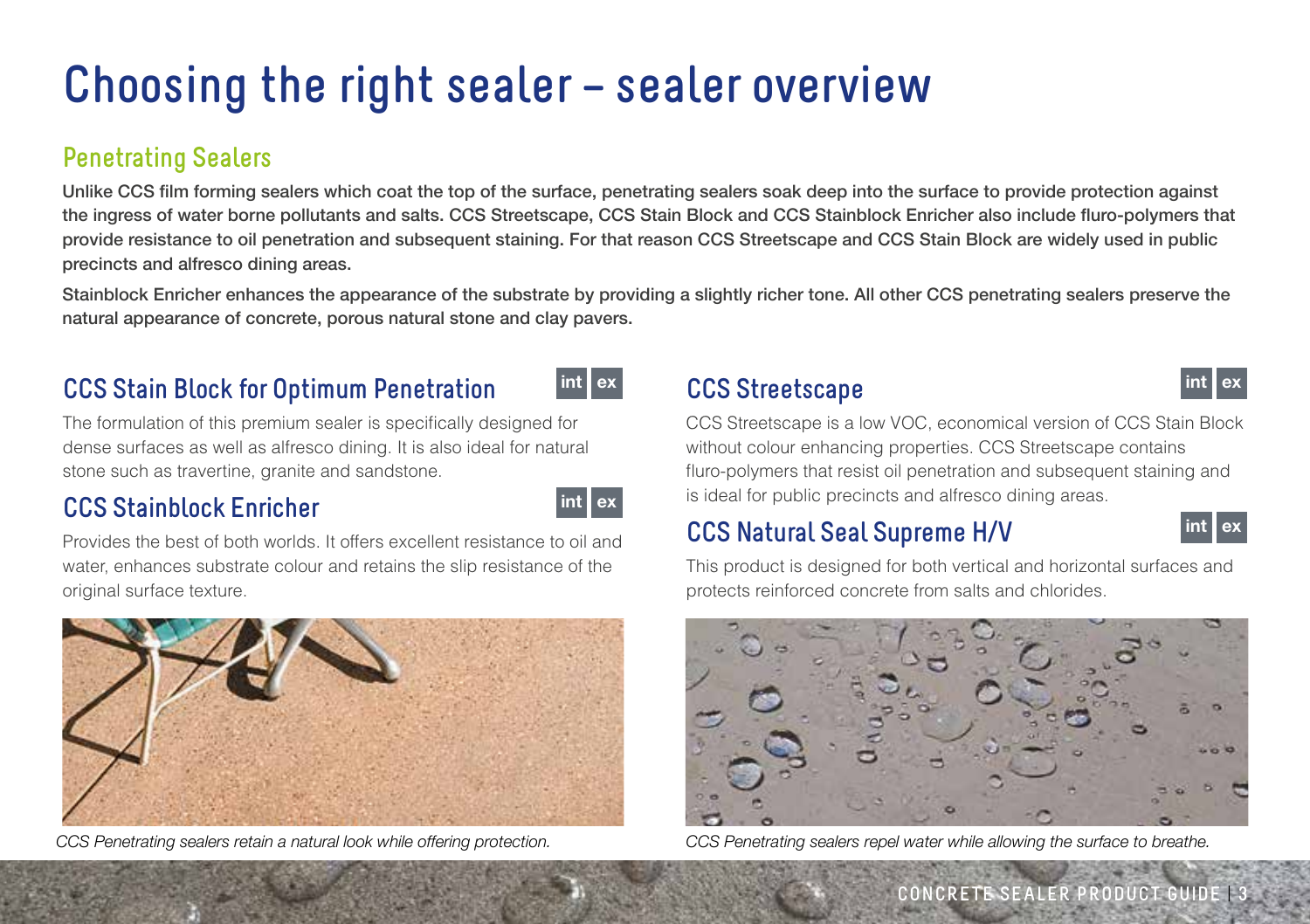### **Choosing the right sealer – sealer overview**

#### **Penetrating Sealers**

Unlike CCS film forming sealers which coat the top of the surface, penetrating sealers soak deep into the surface to provide protection against the ingress of water borne pollutants and salts. CCS Streetscape, CCS Stain Block and CCS Stainblock Enricher also include fluro-polymers that provide resistance to oil penetration and subsequent staining. For that reason CCS Streetscape and CCS Stain Block are widely used in public precincts and alfresco dining areas.

Stainblock Enricher enhances the appearance of the substrate by providing a slightly richer tone. All other CCS penetrating sealers preserve the natural appearance of concrete, porous natural stone and clay pavers.

#### **CCS Stain Block for Optimum Penetration**



The formulation of this premium sealer is specifically designed for dense surfaces as well as alfresco dining. It is also ideal for natural stone such as travertine, granite and sandstone.

#### **CCS Stainblock Enricher**



Provides the best of both worlds. It offers excellent resistance to oil and water, enhances substrate colour and retains the slip resistance of the original surface texture.



#### int ex **CCS Streetscape and the street of the Street Street Street Street Street Street Street Street Street Street Street Street Street Street Street Street Street Street Street Street Street Street Street Street Street**

CCS Streetscape is a low VOC, economical version of CCS Stain Block without colour enhancing properties. CCS Streetscape contains fluro-polymers that resist oil penetration and subsequent staining and is ideal for public precincts and alfresco dining areas.

#### **CCS Natural Seal Supreme H/V**



This product is designed for both vertical and horizontal surfaces and protects reinforced concrete from salts and chlorides.



CCS Penetrating sealers retain a natural look while offering protection. CCS Penetrating sealers repel water while allowing the surface to breathe.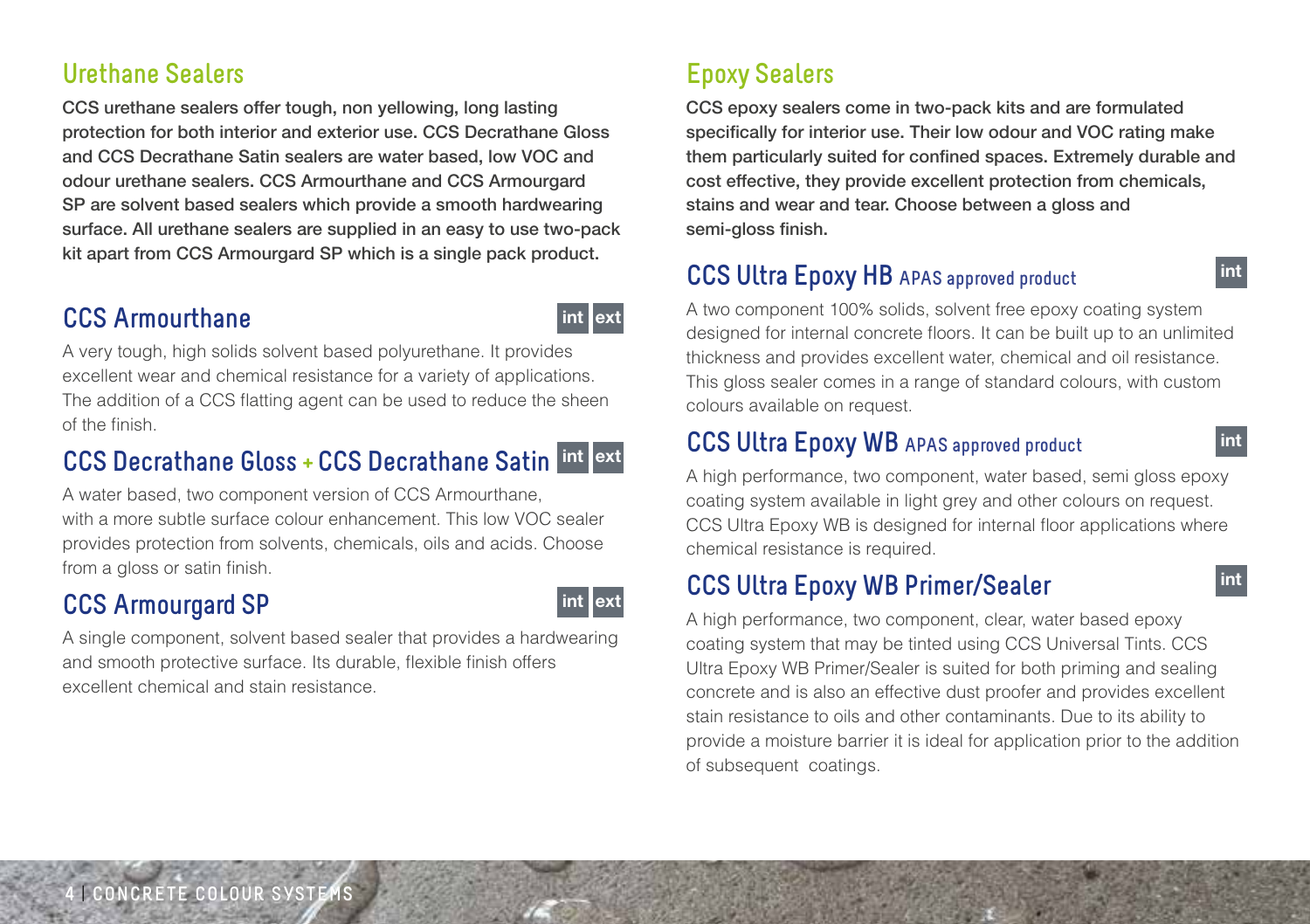#### **Urethane Sealers**

CCS urethane sealers offer tough, non yellowing, long lasting protection for both interior and exterior use. CCS Decrathane Gloss and CCS Decrathane Satin sealers are water based, low VOC and odour urethane sealers. CCS Armourthane and CCS Armourgard SP are solvent based sealers which provide a smooth hardwearing surface. All urethane sealers are supplied in an easy to use two-pack kit apart from CCS Armourgard SP which is a single pack product.

#### **CCS Armourthane**



int ext

A very tough, high solids solvent based polyurethane. It provides excellent wear and chemical resistance for a variety of applications. The addition of a CCS flatting agent can be used to reduce the sheen of the finish.

#### **CCS Decrathane Gloss + CCS Decrathane Satin** int ext

A water based, two component version of CCS Armourthane, with a more subtle surface colour enhancement. This low VOC sealer provides protection from solvents, chemicals, oils and acids. Choose from a gloss or satin finish.

#### **CCS Armourgard SP**

A single component, solvent based sealer that provides a hardwearing and smooth protective surface. Its durable, flexible finish offers excellent chemical and stain resistance.

#### **Epoxy Sealers**

CCS epoxy sealers come in two-pack kits and are formulated specifically for interior use. Their low odour and VOC rating make them particularly suited for confined spaces. Extremely durable and cost effective, they provide excellent protection from chemicals, stains and wear and tear. Choose between a gloss and semi-gloss finish.

#### **CCS Ultra Epoxy HB APAS approved product**

A two component 100% solids, solvent free epoxy coating system designed for internal concrete floors. It can be built up to an unlimited thickness and provides excellent water, chemical and oil resistance. This gloss sealer comes in a range of standard colours, with custom colours available on request.

int

int

int

#### **CCS Ultra Epoxy WB APAS approved product**

A high performance, two component, water based, semi gloss epoxy coating system available in light grey and other colours on request. CCS Ultra Epoxy WB is designed for internal floor applications where chemical resistance is required.

#### **CCS Ultra Epoxy WB Primer/Sealer**

A high performance, two component, clear, water based epoxy coating system that may be tinted using CCS Universal Tints. CCS Ultra Epoxy WB Primer/Sealer is suited for both priming and sealing concrete and is also an effective dust proofer and provides excellent stain resistance to oils and other contaminants. Due to its ability to provide a moisture barrier it is ideal for application prior to the addition of subsequent coatings.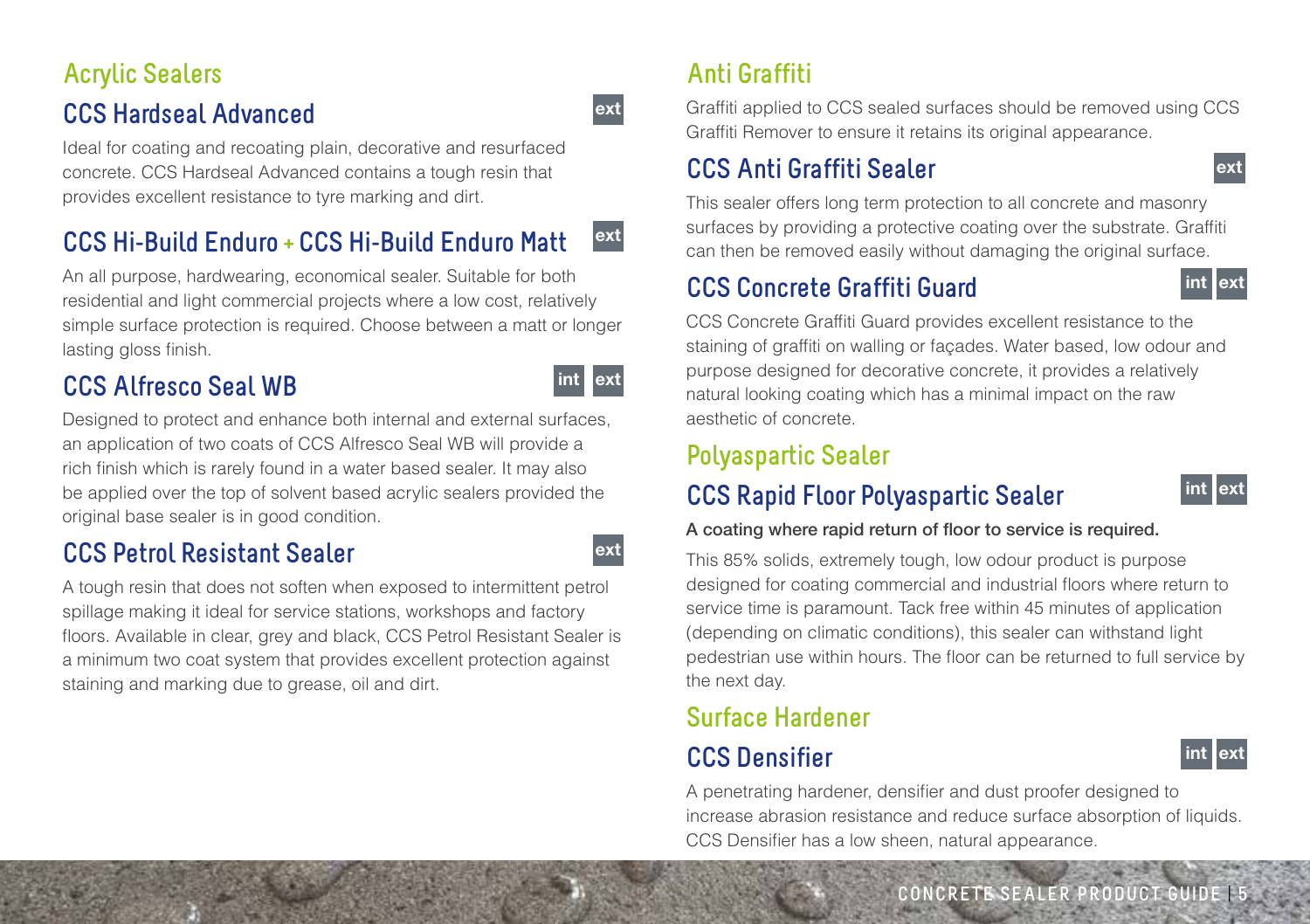#### **Acrylic Sealers CCS Hardseal Advanced**

Ideal for coating and recoating plain, decorative and resurfaced concrete. CCS Hardseal Advanced contains a tough resin that provides excellent resistance to tyre marking and dirt.

#### **CCS Hi-Build Enduro + CCS Hi-Build Enduro Matt** ext

An all purpose, hardwearing, economical sealer. Suitable for both residential and light commercial projects where a low cost, relatively simple surface protection is required. Choose between a matt or longer lasting gloss finish.

#### **CCS Alfresco Seal WB**

Designed to protect and enhance both internal and external surfaces, an application of two coats of CCS Alfresco Seal WB will provide a rich finish which is rarely found in a water based sealer. It may also be applied over the top of solvent based acrylic sealers provided the original base sealer is in good condition.

#### **CCS Petrol Resistant Sealer**

A tough resin that does not soften when exposed to intermittent petrol spillage making it ideal for service stations, workshops and factory floors. Available in clear, grey and black, CCS Petrol Resistant Sealer is a minimum two coat system that provides excellent protection against staining and marking due to grease, oil and dirt.

#### **Anti Graffiti**

Graffiti applied to CCS sealed surfaces should be removed using CCS Graffiti Remover to ensure it retains its original appearance.

#### **CCS Anti Graffiti Sealer**

This sealer offers long term protection to all concrete and masonry surfaces by providing a protective coating over the substrate. Graffiti can then be removed easily without damaging the original surface.

#### **CCS Concrete Graffiti Guard**



ext

CCS Concrete Graffiti Guard provides excellent resistance to the staining of graffiti on walling or façades. Water based, low odour and purpose designed for decorative concrete, it provides a relatively natural looking coating which has a minimal impact on the raw aesthetic of concrete.

#### **Polyaspartic Sealer**

int

ext

ext

ext

#### **CCS Rapid Floor Polyaspartic Sealer**



#### A coating where rapid return of floor to service is required.

This 85% solids, extremely tough, low odour product is purpose designed for coating commercial and industrial floors where return to service time is paramount. Tack free within 45 minutes of application (depending on climatic conditions), this sealer can withstand light pedestrian use within hours. The floor can be returned to full service by the next day.

#### **Surface Hardener**

#### **CCS Densifier**



A penetrating hardener, densifier and dust proofer designed to increase abrasion resistance and reduce surface absorption of liquids. CCS Densifier has a low sheen, natural appearance.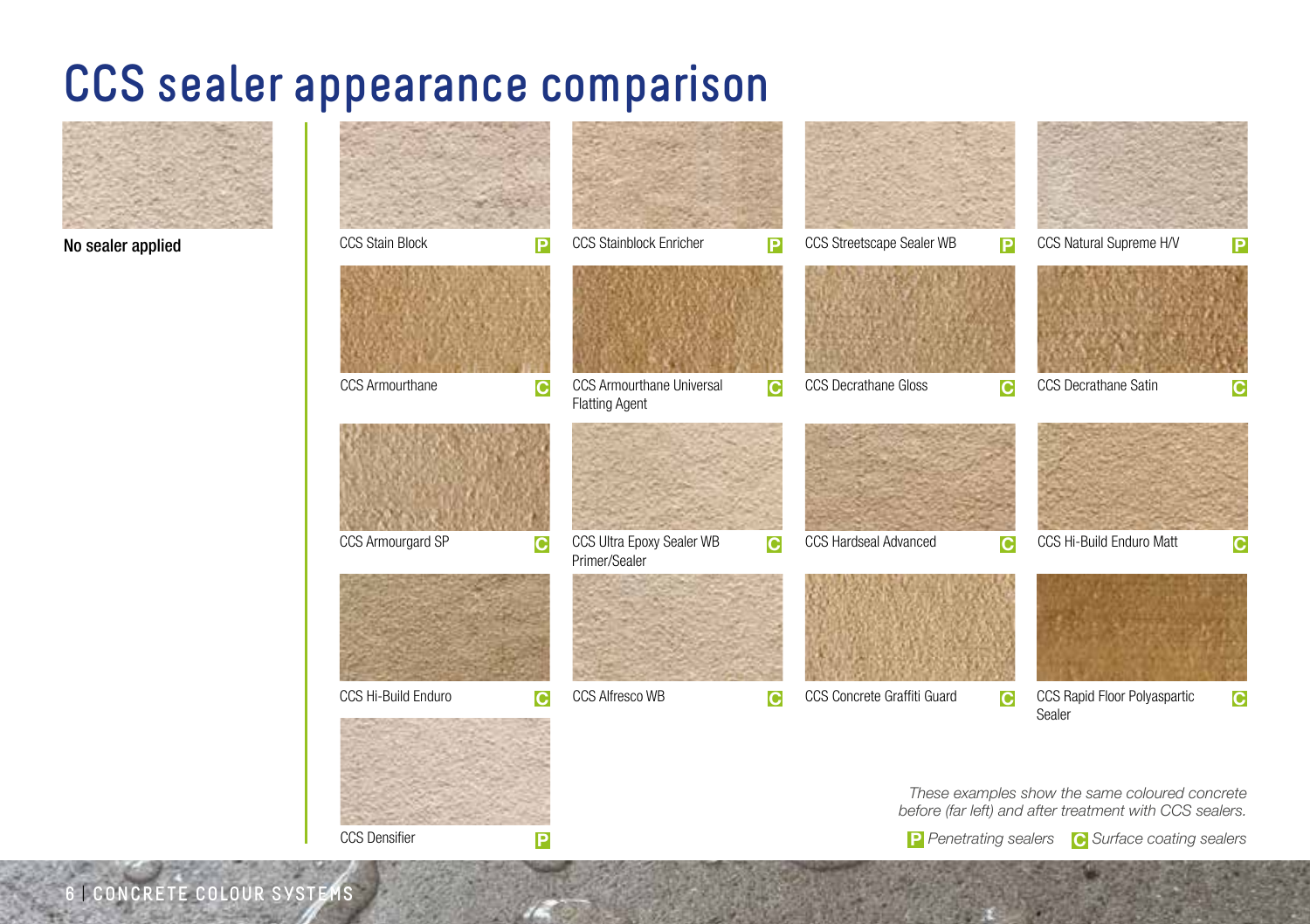### **CCS sealer appearance comparison**



No sealer applied



**6** | **CONCRETE COLOUR SYSTEMS**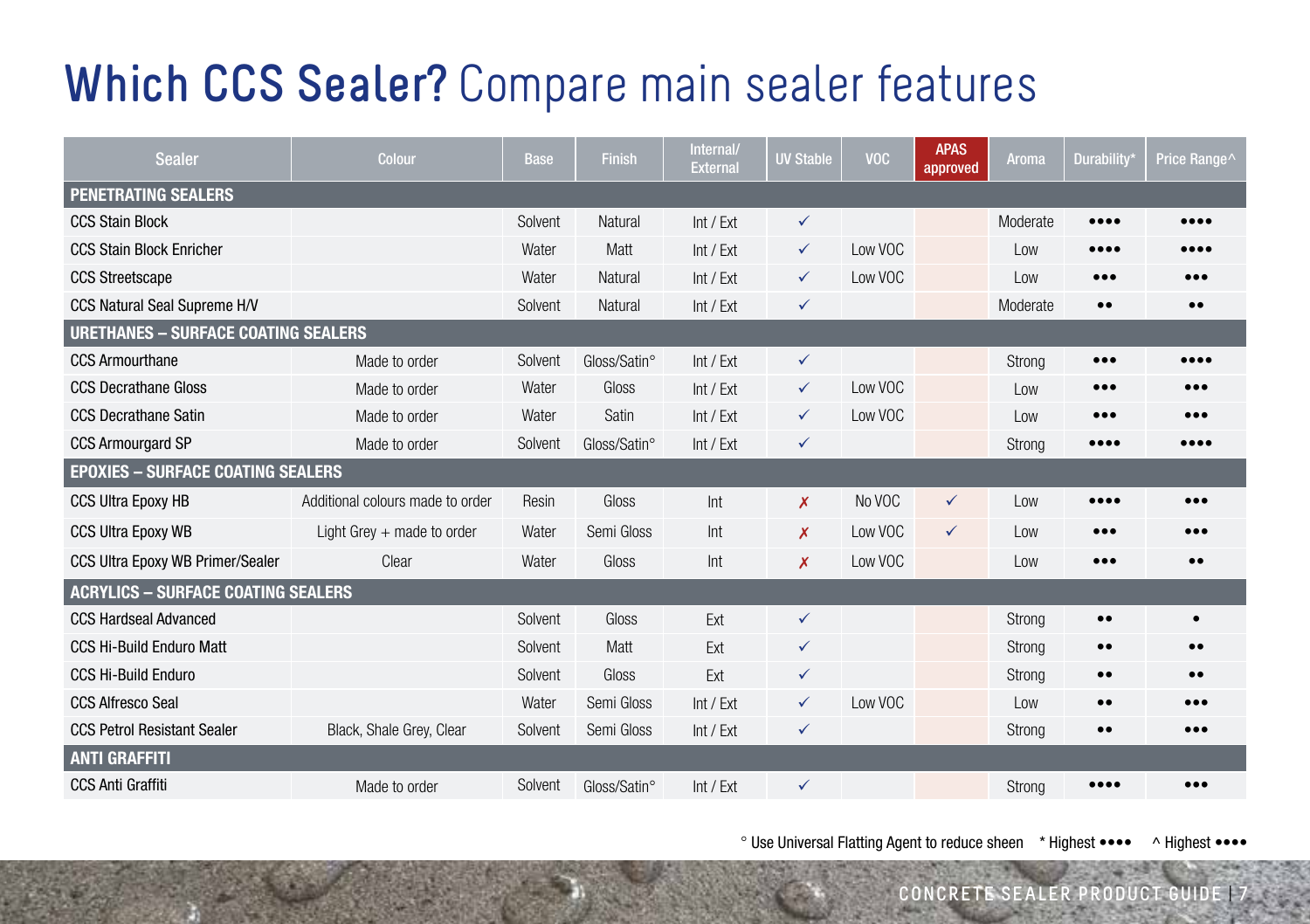### **Which CCS Sealer?** Compare main sealer features

| <b>Sealer</b>                              | Colour                           | <b>Base</b> | Finish       | Internal/<br><b>External</b> | <b>UV Stable</b> | <b>VOC</b> | <b>APAS</b><br>approved | <b>Aroma</b> | <b>Durability</b>       | Price Range                    |  |
|--------------------------------------------|----------------------------------|-------------|--------------|------------------------------|------------------|------------|-------------------------|--------------|-------------------------|--------------------------------|--|
| <b>PENETRATING SEALERS</b>                 |                                  |             |              |                              |                  |            |                         |              |                         |                                |  |
| <b>CCS Stain Block</b>                     |                                  | Solvent     | Natural      | Int / Ext                    | $\checkmark$     |            |                         | Moderate     |                         | $\bullet\bullet\bullet\bullet$ |  |
| <b>CCS Stain Block Enricher</b>            |                                  | Water       | Matt         | Int / Ext                    | $\checkmark$     | Low VOC    |                         | Low          |                         |                                |  |
| <b>CCS Streetscape</b>                     |                                  | Water       | Natural      | Int / Ext                    | $\checkmark$     | Low VOC    |                         | Low          |                         |                                |  |
| CCS Natural Seal Supreme H/V               |                                  | Solvent     | Natural      | Int / Ext                    | $\checkmark$     |            |                         | Moderate     | $\bullet\bullet$        | $\bullet \bullet$              |  |
| <b>URETHANES - SURFACE COATING SEALERS</b> |                                  |             |              |                              |                  |            |                         |              |                         |                                |  |
| <b>CCS Armourthane</b>                     | Made to order                    | Solvent     | Gloss/Satin° | Int / Ext                    | $\checkmark$     |            |                         | Strong       | $\bullet\bullet\bullet$ |                                |  |
| <b>CCS Decrathane Gloss</b>                | Made to order                    | Water       | Gloss        | Int / Ext                    | $\checkmark$     | Low VOC    |                         | Low          | $\bullet\bullet\bullet$ |                                |  |
| <b>CCS Decrathane Satin</b>                | Made to order                    | Water       | Satin        | Int / Ext                    | ✓                | Low VOC    |                         | Low          | $\bullet\bullet\bullet$ | $\bullet\bullet\bullet$        |  |
| <b>CCS Armourgard SP</b>                   | Made to order                    | Solvent     | Gloss/Satin° | Int / Ext                    | $\checkmark$     |            |                         | Strong       |                         |                                |  |
| <b>EPOXIES - SURFACE COATING SEALERS</b>   |                                  |             |              |                              |                  |            |                         |              |                         |                                |  |
| <b>CCS Ultra Epoxy HB</b>                  | Additional colours made to order | Resin       | Gloss        | Int                          | X                | No VOC     | ✓                       | Low          |                         | $\bullet\bullet\bullet$        |  |
| <b>CCS Ultra Epoxy WB</b>                  | Light Grey $+$ made to order     | Water       | Semi Gloss   | Int                          | X                | Low VOC    | ✓                       | Low          | $\bullet\bullet\bullet$ |                                |  |
| CCS Ultra Epoxy WB Primer/Sealer           | Clear                            | Water       | Gloss        | Int                          | X                | Low VOC    |                         | Low          | $\bullet\bullet\bullet$ | $\bullet\bullet$               |  |
| <b>ACRYLICS - SURFACE COATING SEALERS</b>  |                                  |             |              |                              |                  |            |                         |              |                         |                                |  |
| <b>CCS Hardseal Advanced</b>               |                                  | Solvent     | Gloss        | Ext                          | $\checkmark$     |            |                         | Strong       | $\bullet\bullet$        | $\bullet$                      |  |
| <b>CCS Hi-Build Enduro Matt</b>            |                                  | Solvent     | Matt         | Ext                          | $\checkmark$     |            |                         | Strong       | $\bullet\bullet$        | $\bullet\bullet$               |  |
| <b>CCS Hi-Build Enduro</b>                 |                                  | Solvent     | Gloss        | Ext                          | $\checkmark$     |            |                         | Strong       | $\bullet\bullet$        | $\bullet\bullet$               |  |
| <b>CCS Alfresco Seal</b>                   |                                  | Water       | Semi Gloss   | Int / Ext                    | $\checkmark$     | Low VOC    |                         | Low          | $\bullet\bullet$        |                                |  |
| <b>CCS Petrol Resistant Sealer</b>         | Black, Shale Grey, Clear         | Solvent     | Semi Gloss   | Int / Ext                    | ✓                |            |                         | Strong       | $\bullet$               | $\bullet\bullet\bullet$        |  |
| <b>ANTI GRAFFITI</b>                       |                                  |             |              |                              |                  |            |                         |              |                         |                                |  |
| <b>CCS Anti Graffiti</b>                   | Made to order                    | Solvent     | Gloss/Satin° | Int / Ext                    | ✓                |            |                         | Strong       |                         | $\bullet\bullet\bullet$        |  |

° Use Universal Flatting Agent to reduce sheen \* Highest •••• ^ Highest ••••